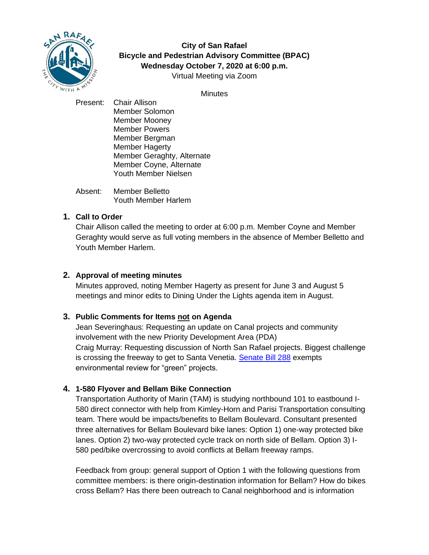

**City of San Rafael Bicycle and Pedestrian Advisory Committee (BPAC) Wednesday October 7, 2020 at 6:00 p.m.** Virtual Meeting via Zoom

**Minutes** 

Present: Chair Allison Member Solomon Member Mooney Member Powers Member Bergman Member Hagerty Member Geraghty, Alternate Member Coyne, Alternate Youth Member Nielsen

Absent: Member Belletto Youth Member Harlem

### **1. Call to Order**

Chair Allison called the meeting to order at 6:00 p.m. Member Coyne and Member Geraghty would serve as full voting members in the absence of Member Belletto and Youth Member Harlem.

# **2. Approval of meeting minutes**

Minutes approved, noting Member Hagerty as present for June 3 and August 5 meetings and minor edits to Dining Under the Lights agenda item in August.

## **3. Public Comments for Items not on Agenda**

Jean Severinghaus: Requesting an update on Canal projects and community involvement with the new Priority Development Area (PDA) Craig Murray: Requesting discussion of North San Rafael projects. Biggest challenge is crossing the freeway to get to Santa Venetia. [Senate Bill 288](https://leginfo.legislature.ca.gov/faces/billNavClient.xhtml?bill_id=201920200SB288) exempts environmental review for "green" projects.

## **4. 1-580 Flyover and Bellam Bike Connection**

Transportation Authority of Marin (TAM) is studying northbound 101 to eastbound I-580 direct connector with help from Kimley-Horn and Parisi Transportation consulting team. There would be impacts/benefits to Bellam Boulevard. Consultant presented three alternatives for Bellam Boulevard bike lanes: Option 1) one-way protected bike lanes. Option 2) two-way protected cycle track on north side of Bellam. Option 3) I-580 ped/bike overcrossing to avoid conflicts at Bellam freeway ramps.

Feedback from group: general support of Option 1 with the following questions from committee members: is there origin-destination information for Bellam? How do bikes cross Bellam? Has there been outreach to Canal neighborhood and is information